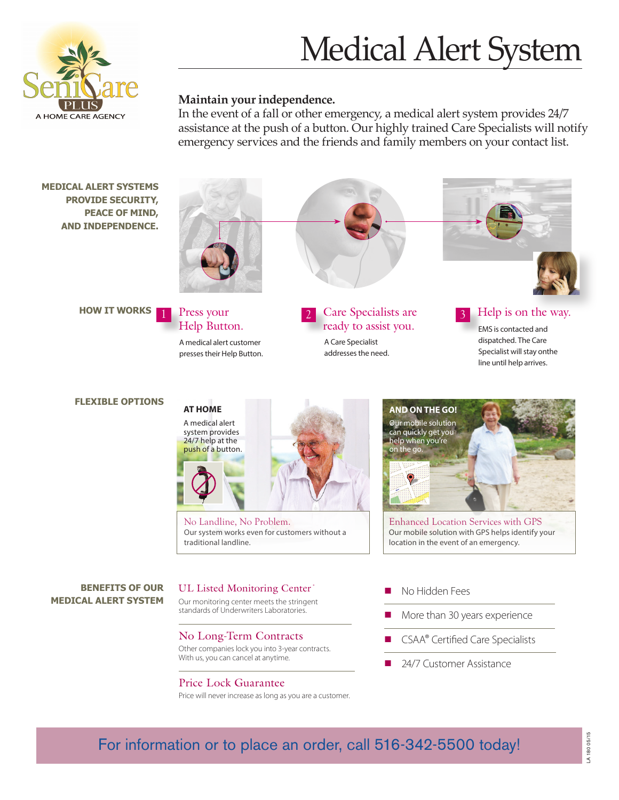## Medical Alert System



#### **Maintain your independence.**

In the event of a fall or other emergency, a medical alert system provides 24/7 assistance at the push of a button. Our highly trained Care Specialists will notify emergency services and the friends and family members on your contact list.



For information or to place an order, call 516-342-5500 today!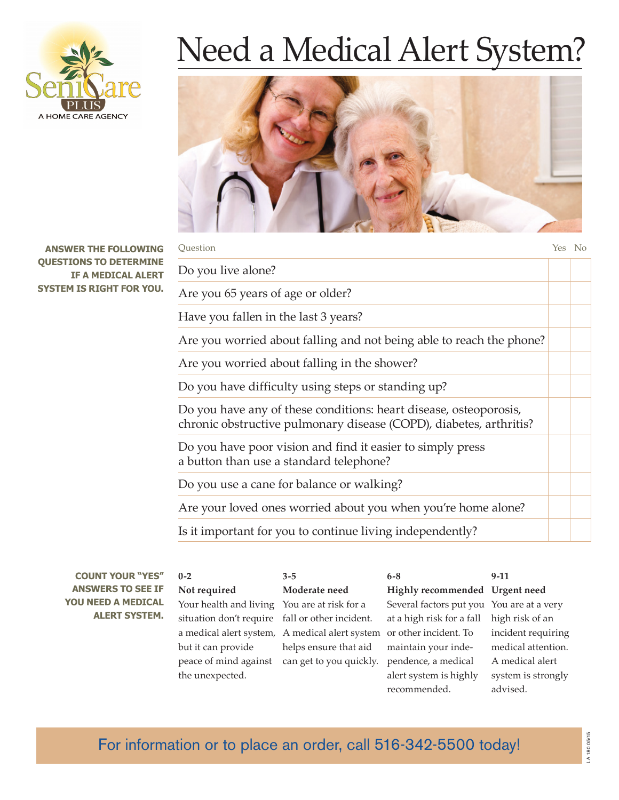

# Need a Medical Alert System?



| Ouestion                                                                                                                                | Yes No |  |
|-----------------------------------------------------------------------------------------------------------------------------------------|--------|--|
| Do you live alone?                                                                                                                      |        |  |
| Are you 65 years of age or older?                                                                                                       |        |  |
| Have you fallen in the last 3 years?                                                                                                    |        |  |
| Are you worried about falling and not being able to reach the phone?                                                                    |        |  |
| Are you worried about falling in the shower?                                                                                            |        |  |
| Do you have difficulty using steps or standing up?                                                                                      |        |  |
| Do you have any of these conditions: heart disease, osteoporosis,<br>chronic obstructive pulmonary disease (COPD), diabetes, arthritis? |        |  |
| Do you have poor vision and find it easier to simply press<br>a button than use a standard telephone?                                   |        |  |
| Do you use a cane for balance or walking?                                                                                               |        |  |
| Are your loved ones worried about you when you're home alone?                                                                           |        |  |
| Is it important for you to continue living independently?                                                                               |        |  |

| <b>COUNT YOUR "YES"</b>                                                | $0 - 2$                                         | $3 - 5$                                                              | $6 - 8$                                   | $9-11$             |
|------------------------------------------------------------------------|-------------------------------------------------|----------------------------------------------------------------------|-------------------------------------------|--------------------|
| <b>ANSWERS TO SEE IF</b><br>YOU NEED A MEDICAL<br><b>ALERT SYSTEM.</b> | Not required                                    | Moderate need                                                        | Highly recommended Urgent need            |                    |
|                                                                        | Your health and living You are at risk for a    |                                                                      | Several factors put you You are at a very |                    |
|                                                                        | situation don't require fall or other incident. |                                                                      | at a high risk for a fall                 | high risk of an    |
|                                                                        |                                                 | a medical alert system, A medical alert system or other incident. To |                                           | incident requiring |
|                                                                        | but it can provide                              | helps ensure that aid                                                | maintain your inde-                       | medical attention. |
|                                                                        | peace of mind against                           | can get to you quickly.                                              | pendence, a medical                       | A medical alert    |
|                                                                        | the unexpected.                                 |                                                                      | alert system is highly                    | system is strongly |
|                                                                        |                                                 |                                                                      | recommended.                              | advised.           |

### For information or to place an order, call 516-342-5500 today!

**ANSWER THE FOLLOWIN QUESTIONS TO DETERMI IF A MEDICAL ALE SYSTEM IS RIGHT FOR YOU.**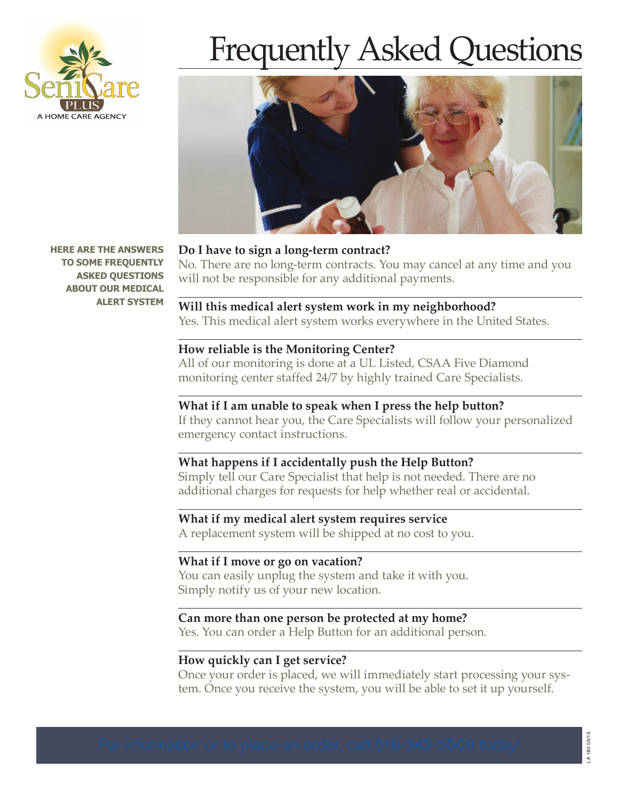

# Frequently Asked Questions



**HERE ARE THE ANSWERS TO SOME FREQUENTLY ASKED QUESTIONS ABOUT OUR MEDICAL ALERT SYSTEM**

#### **Do I have to sign a long-term contract?**

No. There are no long-term contracts. You may cancel at any time and you will not be responsible for any additional payments.

#### **Will this medical alert system work in my neighborhood?**

Yes. This medical alert system works everywhere in the United States.

#### **How reliable is the Monitoring Center?**

All of our monitoring is done at a UL Listed, CSAA Five Diamond monitoring center staffed 24/7 by highly trained Care Specialists.

#### **What if I am unable to speak when I press the help button?**

If they cannot hear you, the Care Specialists will follow your personalized emergency contact instructions.

#### **What happens if I accidentally push the Help Button?**

Simply tell our Care Specialist that help is not needed. There are no additional charges for requests for help whether real or accidental.

#### **What if my medical alert system requires service**

A replacement system will be shipped at no cost to you.

#### **What if I move or go on vacation?**

You can easily unplug the system and take it with you. Simply notify us of your new location.

#### **Can more than one person be protected at my home?**

Yes. You can order a Help Button for an additional person.

#### **How quickly can I get service?**

Once your order is placed, we will immediately start processing your system. Once you receive the system, you will be able to set it up yourself.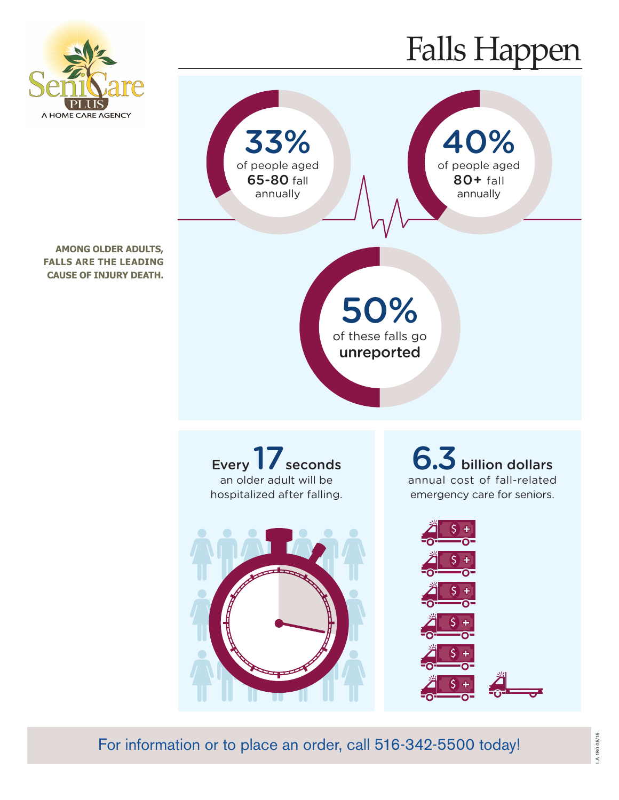

**AMONG OLDER ADULTS, FALLS ARE THE LEADING CAUSE OF INJURY DEATH.**

## Falls Happen







6.3 billion dollars annual cost of fall-related emergency care for seniors.